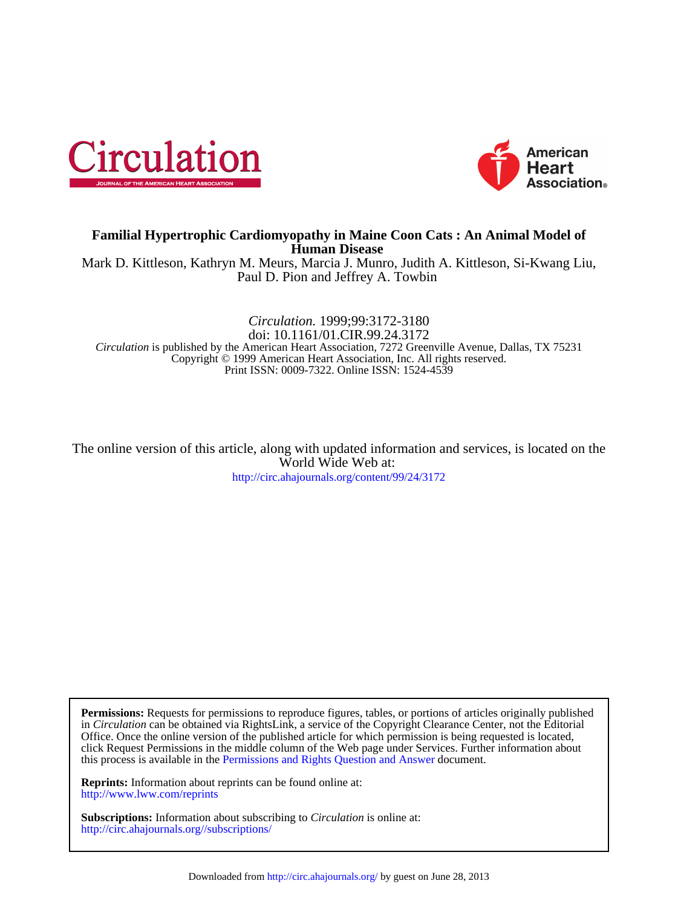



## **Human Disease Familial Hypertrophic Cardiomyopathy in Maine Coon Cats : An Animal Model of**

Paul D. Pion and Jeffrey A. Towbin Mark D. Kittleson, Kathryn M. Meurs, Marcia J. Munro, Judith A. Kittleson, Si-Kwang Liu,

Print ISSN: 0009-7322. Online ISSN: 1524-4539 Copyright © 1999 American Heart Association, Inc. All rights reserved. *Circulation* is published by the American Heart Association, 7272 Greenville Avenue, Dallas, TX 75231 doi: 10.1161/01.CIR.99.24.3172 *Circulation.* 1999;99:3172-3180

<http://circ.ahajournals.org/content/99/24/3172> World Wide Web at: The online version of this article, along with updated information and services, is located on the

this process is available in the [Permissions and Rights Question and Answer d](http://www.ahajournals.org/site/rights/)ocument. click Request Permissions in the middle column of the Web page under Services. Further information about Office. Once the online version of the published article for which permission is being requested is located, in *Circulation* can be obtained via RightsLink, a service of the Copyright Clearance Center, not the Editorial **Permissions:** Requests for permissions to reproduce figures, tables, or portions of articles originally published

<http://www.lww.com/reprints> **Reprints:** Information about reprints can be found online at:

<http://circ.ahajournals.org//subscriptions/> **Subscriptions:** Information about subscribing to *Circulation* is online at: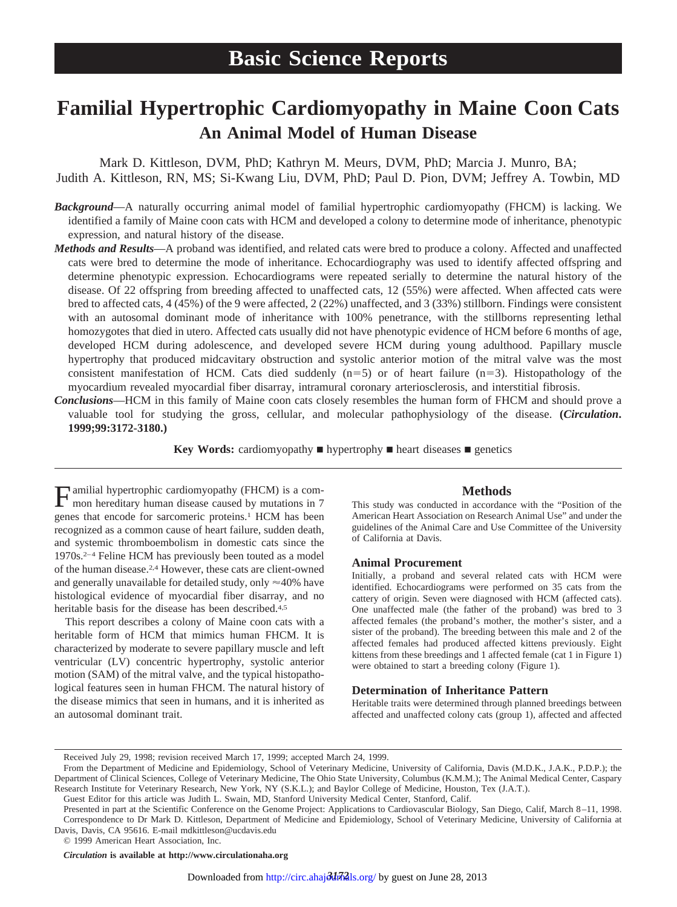# **Familial Hypertrophic Cardiomyopathy in Maine Coon Cats An Animal Model of Human Disease**

Mark D. Kittleson, DVM, PhD; Kathryn M. Meurs, DVM, PhD; Marcia J. Munro, BA; Judith A. Kittleson, RN, MS; Si-Kwang Liu, DVM, PhD; Paul D. Pion, DVM; Jeffrey A. Towbin, MD

- *Background*—A naturally occurring animal model of familial hypertrophic cardiomyopathy (FHCM) is lacking. We identified a family of Maine coon cats with HCM and developed a colony to determine mode of inheritance, phenotypic expression, and natural history of the disease.
- *Methods and Results*—A proband was identified, and related cats were bred to produce a colony. Affected and unaffected cats were bred to determine the mode of inheritance. Echocardiography was used to identify affected offspring and determine phenotypic expression. Echocardiograms were repeated serially to determine the natural history of the disease. Of 22 offspring from breeding affected to unaffected cats, 12 (55%) were affected. When affected cats were bred to affected cats, 4 (45%) of the 9 were affected, 2 (22%) unaffected, and 3 (33%) stillborn. Findings were consistent with an autosomal dominant mode of inheritance with 100% penetrance, with the stillborns representing lethal homozygotes that died in utero. Affected cats usually did not have phenotypic evidence of HCM before 6 months of age, developed HCM during adolescence, and developed severe HCM during young adulthood. Papillary muscle hypertrophy that produced midcavitary obstruction and systolic anterior motion of the mitral valve was the most consistent manifestation of HCM. Cats died suddenly  $(n=5)$  or of heart failure  $(n=3)$ . Histopathology of the myocardium revealed myocardial fiber disarray, intramural coronary arteriosclerosis, and interstitial fibrosis.
- *Conclusions*—HCM in this family of Maine coon cats closely resembles the human form of FHCM and should prove a valuable tool for studying the gross, cellular, and molecular pathophysiology of the disease. **(***Circulation***. 1999;99:3172-3180.)**

**Key Words:** cardiomyopathy **n** hypertrophy **n** heart diseases **n** genetics

Familial hypertrophic cardiomyopathy (FHCM) is a com-mon hereditary human disease caused by mutations in 7 genes that encode for sarcomeric proteins.1 HCM has been recognized as a common cause of heart failure, sudden death, and systemic thromboembolism in domestic cats since the 1970s.2–4 Feline HCM has previously been touted as a model of the human disease.2,4 However, these cats are client-owned and generally unavailable for detailed study, only  $\approx$  40% have histological evidence of myocardial fiber disarray, and no heritable basis for the disease has been described.<sup>4,5</sup>

This report describes a colony of Maine coon cats with a heritable form of HCM that mimics human FHCM. It is characterized by moderate to severe papillary muscle and left ventricular (LV) concentric hypertrophy, systolic anterior motion (SAM) of the mitral valve, and the typical histopathological features seen in human FHCM. The natural history of the disease mimics that seen in humans, and it is inherited as an autosomal dominant trait.

## **Methods**

This study was conducted in accordance with the "Position of the American Heart Association on Research Animal Use" and under the guidelines of the Animal Care and Use Committee of the University of California at Davis.

#### **Animal Procurement**

Initially, a proband and several related cats with HCM were identified. Echocardiograms were performed on 35 cats from the cattery of origin. Seven were diagnosed with HCM (affected cats). One unaffected male (the father of the proband) was bred to 3 affected females (the proband's mother, the mother's sister, and a sister of the proband). The breeding between this male and 2 of the affected females had produced affected kittens previously. Eight kittens from these breedings and 1 affected female (cat 1 in Figure 1) were obtained to start a breeding colony (Figure 1).

#### **Determination of Inheritance Pattern**

Heritable traits were determined through planned breedings between affected and unaffected colony cats (group 1), affected and affected

© 1999 American Heart Association, Inc.

*Circulation* **is available at http://www.circulationaha.org**

Received July 29, 1998; revision received March 17, 1999; accepted March 24, 1999.

From the Department of Medicine and Epidemiology, School of Veterinary Medicine, University of California, Davis (M.D.K., J.A.K., P.D.P.); the Department of Clinical Sciences, College of Veterinary Medicine, The Ohio State University, Columbus (K.M.M.); The Animal Medical Center, Caspary Research Institute for Veterinary Research, New York, NY (S.K.L.); and Baylor College of Medicine, Houston, Tex (J.A.T.).

Guest Editor for this article was Judith L. Swain, MD, Stanford University Medical Center, Stanford, Calif.

Presented in part at the Scientific Conference on the Genome Project: Applications to Cardiovascular Biology, San Diego, Calif, March 8–11, 1998. Correspondence to Dr Mark D. Kittleson, Department of Medicine and Epidemiology, School of Veterinary Medicine, University of California at Davis, Davis, CA 95616. E-mail mdkittleson@ucdavis.edu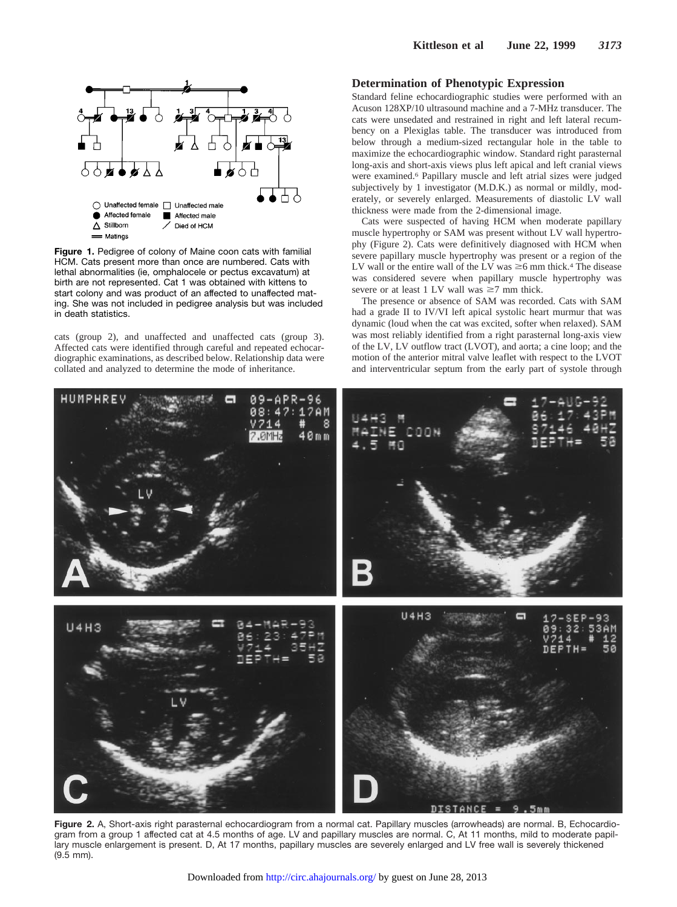

**Figure 1.** Pedigree of colony of Maine coon cats with familial HCM. Cats present more than once are numbered. Cats with lethal abnormalities (ie, omphalocele or pectus excavatum) at birth are not represented. Cat 1 was obtained with kittens to start colony and was product of an affected to unaffected mating. She was not included in pedigree analysis but was included in death statistics.

cats (group 2), and unaffected and unaffected cats (group 3). Affected cats were identified through careful and repeated echocardiographic examinations, as described below. Relationship data were collated and analyzed to determine the mode of inheritance.

#### **Determination of Phenotypic Expression**

Standard feline echocardiographic studies were performed with an Acuson 128XP/10 ultrasound machine and a 7-MHz transducer. The cats were unsedated and restrained in right and left lateral recumbency on a Plexiglas table. The transducer was introduced from below through a medium-sized rectangular hole in the table to maximize the echocardiographic window. Standard right parasternal long-axis and short-axis views plus left apical and left cranial views were examined.6 Papillary muscle and left atrial sizes were judged subjectively by 1 investigator (M.D.K.) as normal or mildly, moderately, or severely enlarged. Measurements of diastolic LV wall thickness were made from the 2-dimensional image.

Cats were suspected of having HCM when moderate papillary muscle hypertrophy or SAM was present without LV wall hypertrophy (Figure 2). Cats were definitively diagnosed with HCM when severe papillary muscle hypertrophy was present or a region of the LV wall or the entire wall of the LV was  $\geq$ 6 mm thick.<sup>4</sup> The disease was considered severe when papillary muscle hypertrophy was severe or at least 1 LV wall was  $\geq$ 7 mm thick.

The presence or absence of SAM was recorded. Cats with SAM had a grade II to IV/VI left apical systolic heart murmur that was dynamic (loud when the cat was excited, softer when relaxed). SAM was most reliably identified from a right parasternal long-axis view of the LV, LV outflow tract (LVOT), and aorta; a cine loop; and the motion of the anterior mitral valve leaflet with respect to the LVOT and interventricular septum from the early part of systole through



**Figure 2.** A, Short-axis right parasternal echocardiogram from a normal cat. Papillary muscles (arrowheads) are normal. B, Echocardiogram from a group 1 affected cat at 4.5 months of age. LV and papillary muscles are normal. C, At 11 months, mild to moderate papillary muscle enlargement is present. D, At 17 months, papillary muscles are severely enlarged and LV free wall is severely thickened (9.5 mm).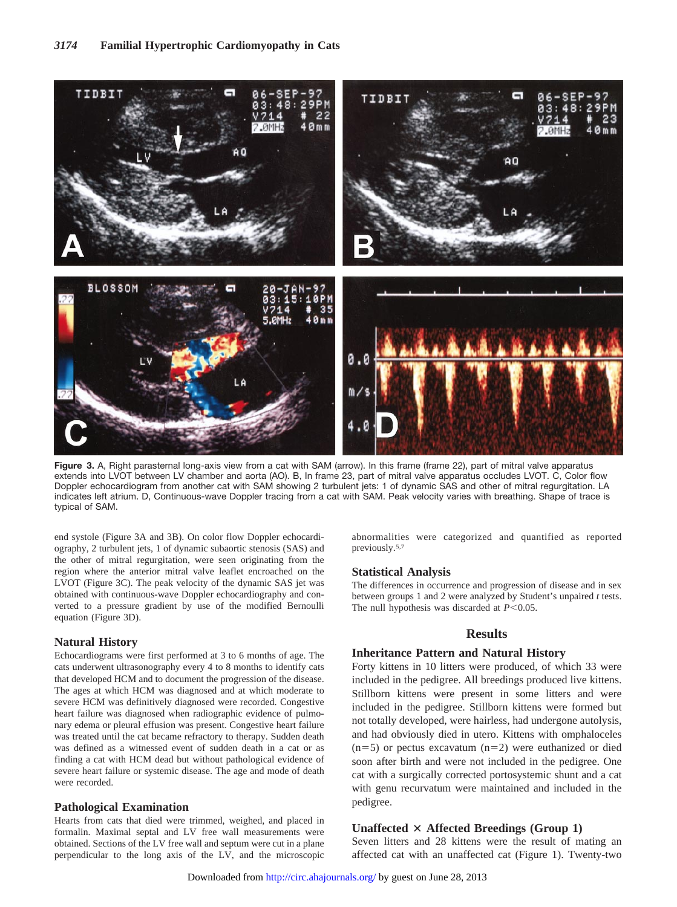

**Figure 3.** A, Right parasternal long-axis view from a cat with SAM (arrow). In this frame (frame 22), part of mitral valve apparatus extends into LVOT between LV chamber and aorta (AO). B, In frame 23, part of mitral valve apparatus occludes LVOT. C, Color flow Doppler echocardiogram from another cat with SAM showing 2 turbulent jets: 1 of dynamic SAS and other of mitral regurgitation. LA indicates left atrium. D, Continuous-wave Doppler tracing from a cat with SAM. Peak velocity varies with breathing. Shape of trace is typical of SAM.

end systole (Figure 3A and 3B). On color flow Doppler echocardiography, 2 turbulent jets, 1 of dynamic subaortic stenosis (SAS) and the other of mitral regurgitation, were seen originating from the region where the anterior mitral valve leaflet encroached on the LVOT (Figure 3C). The peak velocity of the dynamic SAS jet was obtained with continuous-wave Doppler echocardiography and converted to a pressure gradient by use of the modified Bernoulli equation (Figure 3D).

#### **Natural History**

Echocardiograms were first performed at 3 to 6 months of age. The cats underwent ultrasonography every 4 to 8 months to identify cats that developed HCM and to document the progression of the disease. The ages at which HCM was diagnosed and at which moderate to severe HCM was definitively diagnosed were recorded. Congestive heart failure was diagnosed when radiographic evidence of pulmonary edema or pleural effusion was present. Congestive heart failure was treated until the cat became refractory to therapy. Sudden death was defined as a witnessed event of sudden death in a cat or as finding a cat with HCM dead but without pathological evidence of severe heart failure or systemic disease. The age and mode of death were recorded.

#### **Pathological Examination**

Hearts from cats that died were trimmed, weighed, and placed in formalin. Maximal septal and LV free wall measurements were obtained. Sections of the LV free wall and septum were cut in a plane perpendicular to the long axis of the LV, and t[he](http://circ.ahajournals.org/) [microscopic](http://circ.ahajournals.org/) abnormalities were categorized and quantified as reported previously.5,7

#### **Statistical Analysis**

The differences in occurrence and progression of disease and in sex between groups 1 and 2 were analyzed by Student's unpaired *t* tests. The null hypothesis was discarded at  $P$ <0.05.

## **Results**

#### **Inheritance Pattern and Natural History**

Forty kittens in 10 litters were produced, of which 33 were included in the pedigree. All breedings produced live kittens. Stillborn kittens were present in some litters and were included in the pedigree. Stillborn kittens were formed but not totally developed, were hairless, had undergone autolysis, and had obviously died in utero. Kittens with omphaloceles  $(n=5)$  or pectus excavatum  $(n=2)$  were euthanized or died soon after birth and were not included in the pedigree. One cat with a surgically corrected portosystemic shunt and a cat with genu recurvatum were maintained and included in the pedigree.

## **Unaffected**  $\times$  Affected Breedings (Group 1)

Seven litters and 28 kittens were the result of mating an affected cat with an unaffected cat (Figure 1). Twenty-two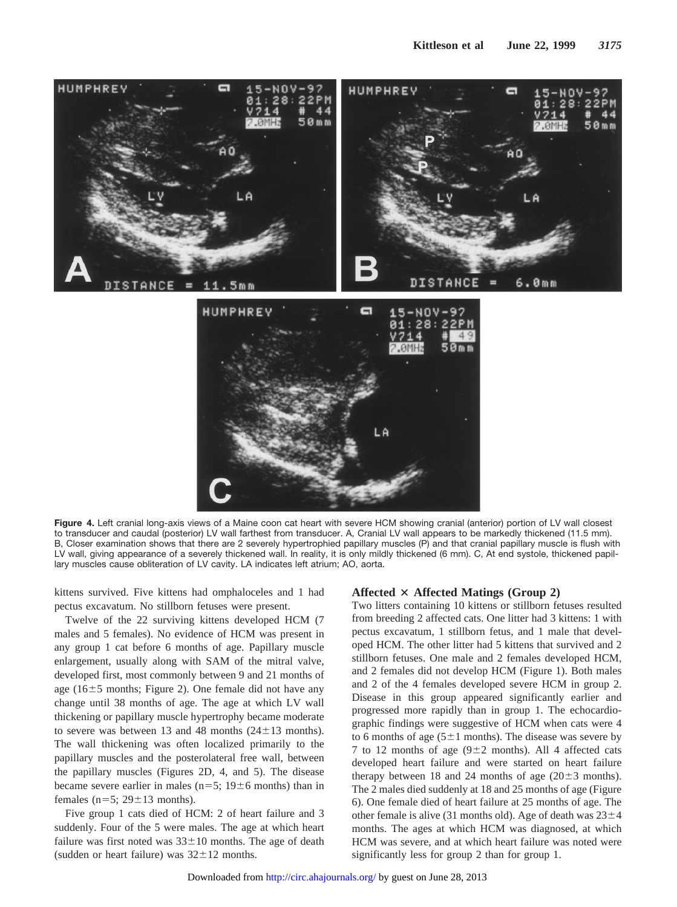

Figure 4. Left cranial long-axis views of a Maine coon cat heart with severe HCM showing cranial (anterior) portion of LV wall closest to transducer and caudal (posterior) LV wall farthest from transducer. A, Cranial LV wall appears to be markedly thickened (11.5 mm). B, Closer examination shows that there are 2 severely hypertrophied papillary muscles (P) and that cranial papillary muscle is flush with LV wall, giving appearance of a severely thickened wall. In reality, it is only mildly thickened (6 mm). C, At end systole, thickened papillary muscles cause obliteration of LV cavity. LA indicates left atrium; AO, aorta.

kittens survived. Five kittens had omphaloceles and 1 had pectus excavatum. No stillborn fetuses were present.

Twelve of the 22 surviving kittens developed HCM (7 males and 5 females). No evidence of HCM was present in any group 1 cat before 6 months of age. Papillary muscle enlargement, usually along with SAM of the mitral valve, developed first, most commonly between 9 and 21 months of age ( $16±5$  months; Figure 2). One female did not have any change until 38 months of age. The age at which LV wall thickening or papillary muscle hypertrophy became moderate to severe was between 13 and 48 months  $(24\pm13 \text{ months})$ . The wall thickening was often localized primarily to the papillary muscles and the posterolateral free wall, between the papillary muscles (Figures 2D, 4, and 5). The disease became severe earlier in males ( $n=5$ ; 19 $\pm$ 6 months) than in females ( $n=5$ ;  $29\pm13$  months).

Five group 1 cats died of HCM: 2 of heart failure and 3 suddenly. Four of the 5 were males. The age at which heart failure was first noted was  $33\pm10$  months. The age of death (sudden or heart failure) was  $32 \pm 12$  months.

#### **Affected**  $\times$  **Affected** Matings (Group 2)

Two litters containing 10 kittens or stillborn fetuses resulted from breeding 2 affected cats. One litter had 3 kittens: 1 with pectus excavatum, 1 stillborn fetus, and 1 male that developed HCM. The other litter had 5 kittens that survived and 2 stillborn fetuses. One male and 2 females developed HCM, and 2 females did not develop HCM (Figure 1). Both males and 2 of the 4 females developed severe HCM in group 2. Disease in this group appeared significantly earlier and progressed more rapidly than in group 1. The echocardiographic findings were suggestive of HCM when cats were 4 to 6 months of age ( $5\pm1$  months). The disease was severe by 7 to 12 months of age  $(9\pm 2$  months). All 4 affected cats developed heart failure and were started on heart failure therapy between 18 and 24 months of age  $(20\pm3$  months). The 2 males died suddenly at 18 and 25 months of age (Figure 6). One female died of heart failure at 25 months of age. The other female is alive (31 months old). Age of death was  $23\pm4$ months. The ages at which HCM was diagnosed, at which HCM was severe, and at which heart failure was noted were [signifi](http://circ.ahajournals.org/)cantly less for group 2 than for group 1.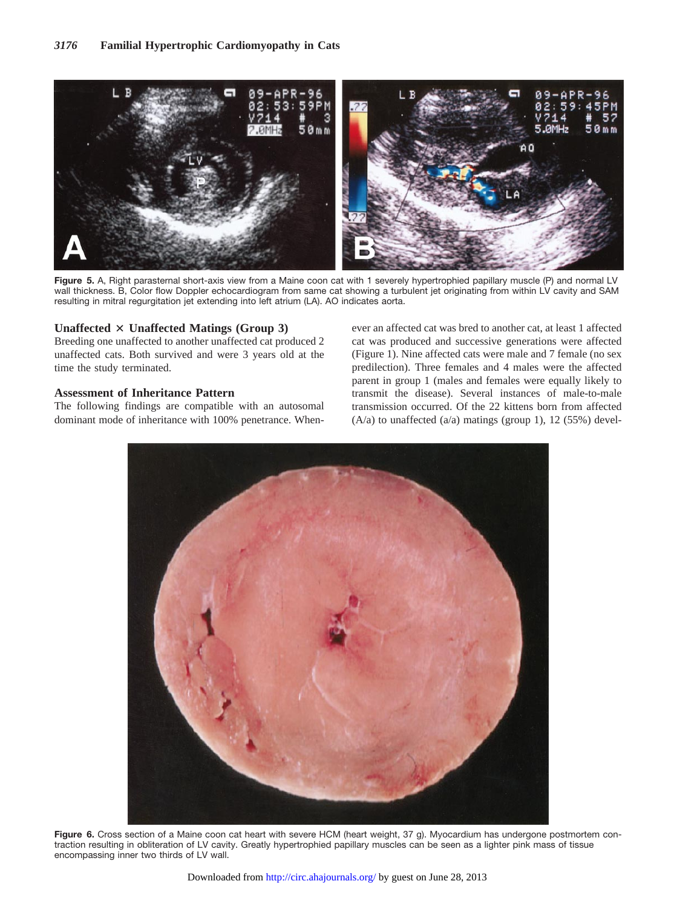

**Figure 5.** A, Right parasternal short-axis view from a Maine coon cat with 1 severely hypertrophied papillary muscle (P) and normal LV wall thickness. B, Color flow Doppler echocardiogram from same cat showing a turbulent jet originating from within LV cavity and SAM resulting in mitral regurgitation jet extending into left atrium (LA). AO indicates aorta.

## **Unaffected**  $\times$  **Unaffected** Matings (Group 3)

Breeding one unaffected to another unaffected cat produced 2 unaffected cats. Both survived and were 3 years old at the time the study terminated.

## **Assessment of Inheritance Pattern**

The following findings are compatible with an autosomal dominant mode of inheritance with 100% penetrance. When-

ever an affected cat was bred to another cat, at least 1 affected cat was produced and successive generations were affected (Figure 1). Nine affected cats were male and 7 female (no sex predilection). Three females and 4 males were the affected parent in group 1 (males and females were equally likely to transmit the disease). Several instances of male-to-male transmission occurred. Of the 22 kittens born from affected  $(A/a)$  to unaffected  $(a/a)$  matings (group 1), 12 (55%) devel-



Figure 6. Cross section of a Maine coon cat heart with severe HCM (heart weight, 37 g). Myocardium has undergone postmortem contraction resulting in obliteration of LV cavity. Greatly hypertrophied papillary muscles can be seen as a lighter pink mass of tissue encompassing inner two thirds of LV wall.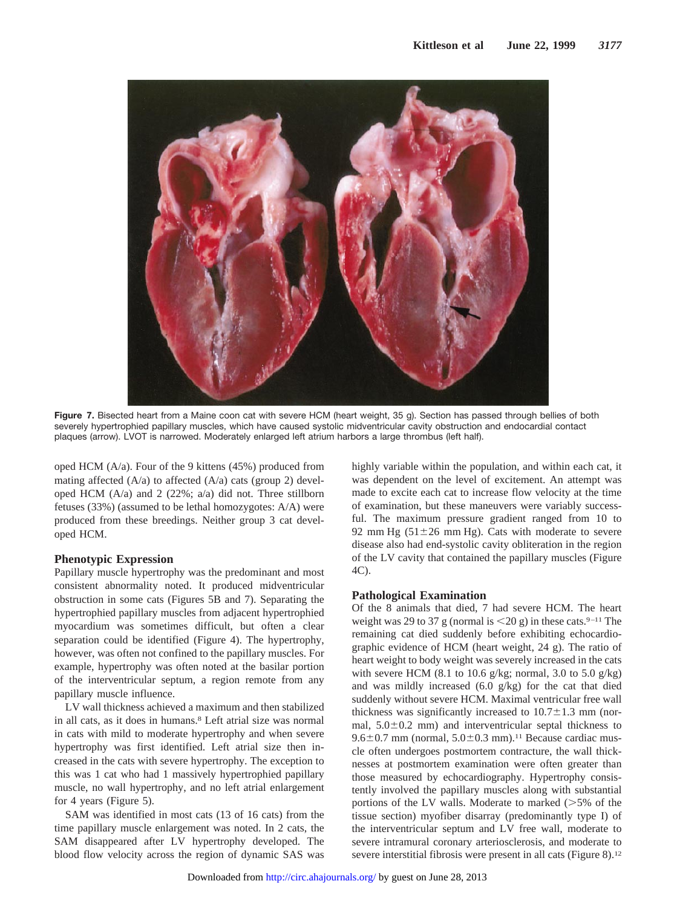

**Figure 7.** Bisected heart from a Maine coon cat with severe HCM (heart weight, 35 g). Section has passed through bellies of both severely hypertrophied papillary muscles, which have caused systolic midventricular cavity obstruction and endocardial contact plaques (arrow). LVOT is narrowed. Moderately enlarged left atrium harbors a large thrombus (left half).

oped HCM (A/a). Four of the 9 kittens (45%) produced from mating affected  $(A/a)$  to affected  $(A/a)$  cats (group 2) developed HCM  $(A/a)$  and 2  $(22\%; a/a)$  did not. Three stillborn fetuses (33%) (assumed to be lethal homozygotes: A/A) were produced from these breedings. Neither group 3 cat developed HCM.

## **Phenotypic Expression**

Papillary muscle hypertrophy was the predominant and most consistent abnormality noted. It produced midventricular obstruction in some cats (Figures 5B and 7). Separating the hypertrophied papillary muscles from adjacent hypertrophied myocardium was sometimes difficult, but often a clear separation could be identified (Figure 4). The hypertrophy, however, was often not confined to the papillary muscles. For example, hypertrophy was often noted at the basilar portion of the interventricular septum, a region remote from any papillary muscle influence.

LV wall thickness achieved a maximum and then stabilized in all cats, as it does in humans.<sup>8</sup> Left atrial size was normal in cats with mild to moderate hypertrophy and when severe hypertrophy was first identified. Left atrial size then increased in the cats with severe hypertrophy. The exception to this was 1 cat who had 1 massively hypertrophied papillary muscle, no wall hypertrophy, and no left atrial enlargement for 4 years (Figure 5).

SAM was identified in most cats (13 of 16 cats) from the time papillary muscle enlargement was noted. In 2 cats, the SAM disappeared after LV hypertrophy developed. The blood flow velocity across the region of dyna[mic](http://circ.ahajournals.org/) [SAS](http://circ.ahajournals.org/) [was](http://circ.ahajournals.org/) highly variable within the population, and within each cat, it was dependent on the level of excitement. An attempt was made to excite each cat to increase flow velocity at the time of examination, but these maneuvers were variably successful. The maximum pressure gradient ranged from 10 to 92 mm Hg  $(51\pm26 \text{ mm Hg})$ . Cats with moderate to severe disease also had end-systolic cavity obliteration in the region of the LV cavity that contained the papillary muscles (Figure 4C).

## **Pathological Examination**

Of the 8 animals that died, 7 had severe HCM. The heart weight was 29 to 37 g (normal is  $\leq$ 20 g) in these cats.<sup>9–11</sup> The remaining cat died suddenly before exhibiting echocardiographic evidence of HCM (heart weight, 24 g). The ratio of heart weight to body weight was severely increased in the cats with severe HCM (8.1 to 10.6 g/kg; normal, 3.0 to 5.0 g/kg) and was mildly increased (6.0 g/kg) for the cat that died suddenly without severe HCM. Maximal ventricular free wall thickness was significantly increased to  $10.7\pm1.3$  mm (normal,  $5.0\pm0.2$  mm) and interventricular septal thickness to  $9.6\pm0.7$  mm (normal,  $5.0\pm0.3$  mm).<sup>11</sup> Because cardiac muscle often undergoes postmortem contracture, the wall thicknesses at postmortem examination were often greater than those measured by echocardiography. Hypertrophy consistently involved the papillary muscles along with substantial portions of the LV walls. Moderate to marked  $(>=5\%$  of the tissue section) myofiber disarray (predominantly type I) of the interventricular septum and LV free wall, moderate to severe intramural coronary arteriosclerosis, and moderate to severe interstitial fibrosis were present in all cats (Figure 8).<sup>12</sup>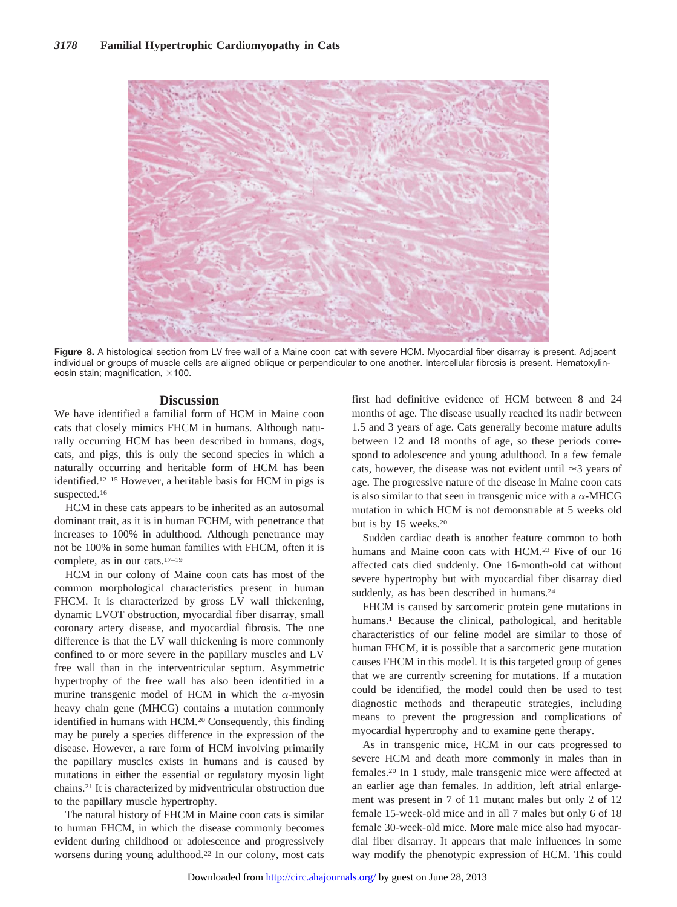

**Figure 8.** A histological section from LV free wall of a Maine coon cat with severe HCM. Myocardial fiber disarray is present. Adjacent individual or groups of muscle cells are aligned oblique or perpendicular to one another. Intercellular fibrosis is present. Hematoxylineosin stain; magnification,  $\times$ 100.

## **Discussion**

We have identified a familial form of HCM in Maine coon cats that closely mimics FHCM in humans. Although naturally occurring HCM has been described in humans, dogs, cats, and pigs, this is only the second species in which a naturally occurring and heritable form of HCM has been identified.12–15 However, a heritable basis for HCM in pigs is suspected.16

HCM in these cats appears to be inherited as an autosomal dominant trait, as it is in human FCHM, with penetrance that increases to 100% in adulthood. Although penetrance may not be 100% in some human families with FHCM, often it is complete, as in our cats.17–19

HCM in our colony of Maine coon cats has most of the common morphological characteristics present in human FHCM. It is characterized by gross LV wall thickening, dynamic LVOT obstruction, myocardial fiber disarray, small coronary artery disease, and myocardial fibrosis. The one difference is that the LV wall thickening is more commonly confined to or more severe in the papillary muscles and LV free wall than in the interventricular septum. Asymmetric hypertrophy of the free wall has also been identified in a murine transgenic model of HCM in which the  $\alpha$ -myosin heavy chain gene (MHCG) contains a mutation commonly identified in humans with HCM.20 Consequently, this finding may be purely a species difference in the expression of the disease. However, a rare form of HCM involving primarily the papillary muscles exists in humans and is caused by mutations in either the essential or regulatory myosin light chains.21 It is characterized by midventricular obstruction due to the papillary muscle hypertrophy.

The natural history of FHCM in Maine coon cats is similar to human FHCM, in which the disease commonly becomes evident during childhood or adolescence and progressively worsens during young adulthood.22 In our colo[ny,](http://circ.ahajournals.org/) [most](http://circ.ahajournals.org/) [cats](http://circ.ahajournals.org/) first had definitive evidence of HCM between 8 and 24 months of age. The disease usually reached its nadir between 1.5 and 3 years of age. Cats generally become mature adults between 12 and 18 months of age, so these periods correspond to adolescence and young adulthood. In a few female cats, however, the disease was not evident until  $\approx$ 3 years of age. The progressive nature of the disease in Maine coon cats is also similar to that seen in transgenic mice with a  $\alpha$ -MHCG mutation in which HCM is not demonstrable at 5 weeks old but is by 15 weeks.20

Sudden cardiac death is another feature common to both humans and Maine coon cats with HCM.<sup>23</sup> Five of our 16 affected cats died suddenly. One 16-month-old cat without severe hypertrophy but with myocardial fiber disarray died suddenly, as has been described in humans.<sup>24</sup>

FHCM is caused by sarcomeric protein gene mutations in humans.<sup>1</sup> Because the clinical, pathological, and heritable characteristics of our feline model are similar to those of human FHCM, it is possible that a sarcomeric gene mutation causes FHCM in this model. It is this targeted group of genes that we are currently screening for mutations. If a mutation could be identified, the model could then be used to test diagnostic methods and therapeutic strategies, including means to prevent the progression and complications of myocardial hypertrophy and to examine gene therapy.

As in transgenic mice, HCM in our cats progressed to severe HCM and death more commonly in males than in females.20 In 1 study, male transgenic mice were affected at an earlier age than females. In addition, left atrial enlargement was present in 7 of 11 mutant males but only 2 of 12 female 15-week-old mice and in all 7 males but only 6 of 18 female 30-week-old mice. More male mice also had myocardial fiber disarray. It appears that male influences in some way modify the phenotypic expression of HCM. This could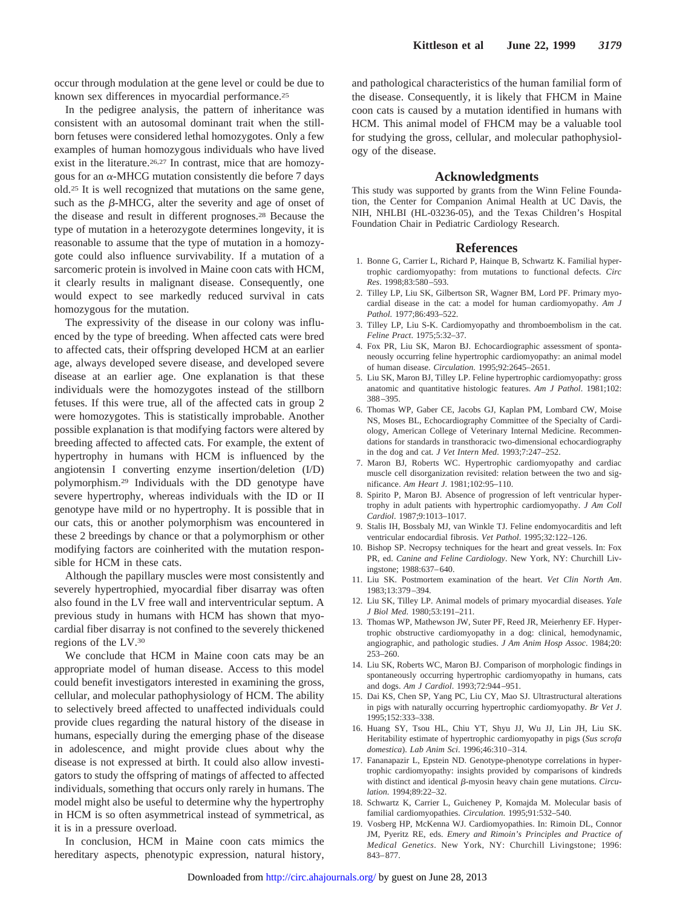occur through modulation at the gene level or could be due to known sex differences in myocardial performance.25

In the pedigree analysis, the pattern of inheritance was consistent with an autosomal dominant trait when the stillborn fetuses were considered lethal homozygotes. Only a few examples of human homozygous individuals who have lived exist in the literature.26,27 In contrast, mice that are homozygous for an  $\alpha$ -MHCG mutation consistently die before 7 days old.25 It is well recognized that mutations on the same gene, such as the  $\beta$ -MHCG, alter the severity and age of onset of the disease and result in different prognoses.28 Because the type of mutation in a heterozygote determines longevity, it is reasonable to assume that the type of mutation in a homozygote could also influence survivability. If a mutation of a sarcomeric protein is involved in Maine coon cats with HCM, it clearly results in malignant disease. Consequently, one would expect to see markedly reduced survival in cats homozygous for the mutation.

The expressivity of the disease in our colony was influenced by the type of breeding. When affected cats were bred to affected cats, their offspring developed HCM at an earlier age, always developed severe disease, and developed severe disease at an earlier age. One explanation is that these individuals were the homozygotes instead of the stillborn fetuses. If this were true, all of the affected cats in group 2 were homozygotes. This is statistically improbable. Another possible explanation is that modifying factors were altered by breeding affected to affected cats. For example, the extent of hypertrophy in humans with HCM is influenced by the angiotensin I converting enzyme insertion/deletion (I/D) polymorphism.29 Individuals with the DD genotype have severe hypertrophy, whereas individuals with the ID or II genotype have mild or no hypertrophy. It is possible that in our cats, this or another polymorphism was encountered in these 2 breedings by chance or that a polymorphism or other modifying factors are coinherited with the mutation responsible for HCM in these cats.

Although the papillary muscles were most consistently and severely hypertrophied, myocardial fiber disarray was often also found in the LV free wall and interventricular septum. A previous study in humans with HCM has shown that myocardial fiber disarray is not confined to the severely thickened regions of the LV.30

We conclude that HCM in Maine coon cats may be an appropriate model of human disease. Access to this model could benefit investigators interested in examining the gross, cellular, and molecular pathophysiology of HCM. The ability to selectively breed affected to unaffected individuals could provide clues regarding the natural history of the disease in humans, especially during the emerging phase of the disease in adolescence, and might provide clues about why the disease is not expressed at birth. It could also allow investigators to study the offspring of matings of affected to affected individuals, something that occurs only rarely in humans. The model might also be useful to determine why the hypertrophy in HCM is so often asymmetrical instead of symmetrical, as it is in a pressure overload.

In conclusion, HCM in Maine coon cats mimics the hereditary aspects, phenotypic expression, na[tural](http://circ.ahajournals.org/) [history,](http://circ.ahajournals.org/) and pathological characteristics of the human familial form of the disease. Consequently, it is likely that FHCM in Maine coon cats is caused by a mutation identified in humans with HCM. This animal model of FHCM may be a valuable tool for studying the gross, cellular, and molecular pathophysiology of the disease.

### **Acknowledgments**

This study was supported by grants from the Winn Feline Foundation, the Center for Companion Animal Health at UC Davis, the NIH, NHLBI (HL-03236-05), and the Texas Children's Hospital Foundation Chair in Pediatric Cardiology Research.

#### **References**

- 1. Bonne G, Carrier L, Richard P, Hainque B, Schwartz K. Familial hypertrophic cardiomyopathy: from mutations to functional defects. *Circ Res*. 1998;83:580–593.
- 2. Tilley LP, Liu SK, Gilbertson SR, Wagner BM, Lord PF. Primary myocardial disease in the cat: a model for human cardiomyopathy. *Am J Pathol*. 1977;86:493–522.
- 3. Tilley LP, Liu S-K. Cardiomyopathy and thromboembolism in the cat. *Feline Pract*. 1975;5:32–37.
- 4. Fox PR, Liu SK, Maron BJ. Echocardiographic assessment of spontaneously occurring feline hypertrophic cardiomyopathy: an animal model of human disease. *Circulation*. 1995;92:2645–2651.
- 5. Liu SK, Maron BJ, Tilley LP. Feline hypertrophic cardiomyopathy: gross anatomic and quantitative histologic features. *Am J Pathol*. 1981;102: 388–395.
- 6. Thomas WP, Gaber CE, Jacobs GJ, Kaplan PM, Lombard CW, Moise NS, Moses BL, Echocardiography Committee of the Specialty of Cardiology, American College of Veterinary Internal Medicine. Recommendations for standards in transthoracic two-dimensional echocardiography in the dog and cat. *J Vet Intern Med*. 1993;7:247–252.
- 7. Maron BJ, Roberts WC. Hypertrophic cardiomyopathy and cardiac muscle cell disorganization revisited: relation between the two and significance. *Am Heart J*. 1981;102:95–110.
- 8. Spirito P, Maron BJ. Absence of progression of left ventricular hypertrophy in adult patients with hypertrophic cardiomyopathy. *J Am Coll Cardiol*. 1987;9:1013–1017.
- 9. Stalis IH, Bossbaly MJ, van Winkle TJ. Feline endomyocarditis and left ventricular endocardial fibrosis. *Vet Pathol*. 1995;32:122–126.
- 10. Bishop SP. Necropsy techniques for the heart and great vessels. In: Fox PR, ed. *Canine and Feline Cardiology*. New York, NY: Churchill Livingstone; 1988:637–640.
- 11. Liu SK. Postmortem examination of the heart. *Vet Clin North Am*. 1983;13:379–394.
- 12. Liu SK, Tilley LP. Animal models of primary myocardial diseases. *Yale J Biol Med*. 1980;53:191–211.
- 13. Thomas WP, Mathewson JW, Suter PF, Reed JR, Meierhenry EF. Hypertrophic obstructive cardiomyopathy in a dog: clinical, hemodynamic, angiographic, and pathologic studies. *J Am Anim Hosp Assoc*. 1984;20: 253–260.
- 14. Liu SK, Roberts WC, Maron BJ. Comparison of morphologic findings in spontaneously occurring hypertrophic cardiomyopathy in humans, cats and dogs. *Am J Cardiol*. 1993;72:944–951.
- 15. Dai KS, Chen SP, Yang PC, Liu CY, Mao SJ. Ultrastructural alterations in pigs with naturally occurring hypertrophic cardiomyopathy. *Br Vet J*. 1995;152:333–338.
- 16. Huang SY, Tsou HL, Chiu YT, Shyu JJ, Wu JJ, Lin JH, Liu SK. Heritability estimate of hypertrophic cardiomyopathy in pigs (*Sus scrofa domestica*). *Lab Anim Sci*. 1996;46:310–314.
- 17. Fananapazir L, Epstein ND. Genotype-phenotype correlations in hypertrophic cardiomyopathy: insights provided by comparisons of kindreds with distinct and identical β-myosin heavy chain gene mutations. *Circulation*. 1994;89:22–32.
- 18. Schwartz K, Carrier L, Guicheney P, Komajda M. Molecular basis of familial cardiomyopathies. *Circulation*. 1995;91:532–540.
- 19. Vosberg HP, McKenna WJ. Cardiomyopathies. In: Rimoin DL, Connor JM, Pyeritz RE, eds. *Emery and Rimoin's Principles and Practice of Medical Genetics*. New York, NY: Churchill Livingstone; 1996: 843–877.